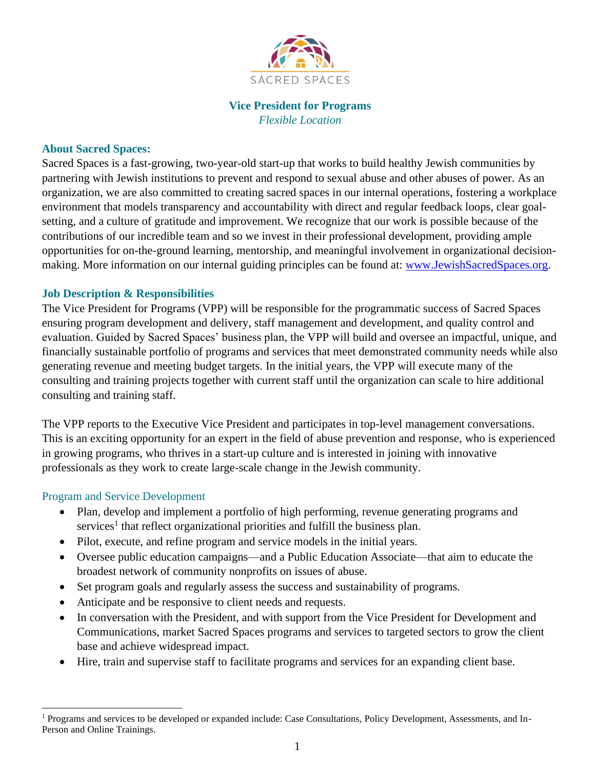

## **Vice President for Programs** *Flexible Location*

### **About Sacred Spaces:**

Sacred Spaces is a fast-growing, two-year-old start-up that works to build healthy Jewish communities by partnering with Jewish institutions to prevent and respond to sexual abuse and other abuses of power. As an organization, we are also committed to creating sacred spaces in our internal operations, fostering a workplace environment that models transparency and accountability with direct and regular feedback loops, clear goalsetting, and a culture of gratitude and improvement. We recognize that our work is possible because of the contributions of our incredible team and so we invest in their professional development, providing ample opportunities for on-the-ground learning, mentorship, and meaningful involvement in organizational decisionmaking. More information on our internal guiding principles can be found at: [www.JewishSacredSpaces.org.](http://www.jewishsacredspaces.org/)

### **Job Description & Responsibilities**

The Vice President for Programs (VPP) will be responsible for the programmatic success of Sacred Spaces ensuring program development and delivery, staff management and development, and quality control and evaluation. Guided by Sacred Spaces' business plan, the VPP will build and oversee an impactful, unique, and financially sustainable portfolio of programs and services that meet demonstrated community needs while also generating revenue and meeting budget targets. In the initial years, the VPP will execute many of the consulting and training projects together with current staff until the organization can scale to hire additional consulting and training staff.

The VPP reports to the Executive Vice President and participates in top-level management conversations. This is an exciting opportunity for an expert in the field of abuse prevention and response, who is experienced in growing programs, who thrives in a start-up culture and is interested in joining with innovative professionals as they work to create large-scale change in the Jewish community.

#### Program and Service Development

- Plan, develop and implement a portfolio of high performing, revenue generating programs and services<sup>1</sup> that reflect organizational priorities and fulfill the business plan.
- Pilot, execute, and refine program and service models in the initial years.
- Oversee public education campaigns—and a Public Education Associate—that aim to educate the broadest network of community nonprofits on issues of abuse.
- Set program goals and regularly assess the success and sustainability of programs.
- Anticipate and be responsive to client needs and requests.
- In conversation with the President, and with support from the Vice President for Development and Communications, market Sacred Spaces programs and services to targeted sectors to grow the client base and achieve widespread impact.
- Hire, train and supervise staff to facilitate programs and services for an expanding client base.

<sup>1</sup> Programs and services to be developed or expanded include: Case Consultations, Policy Development, Assessments, and In-Person and Online Trainings.